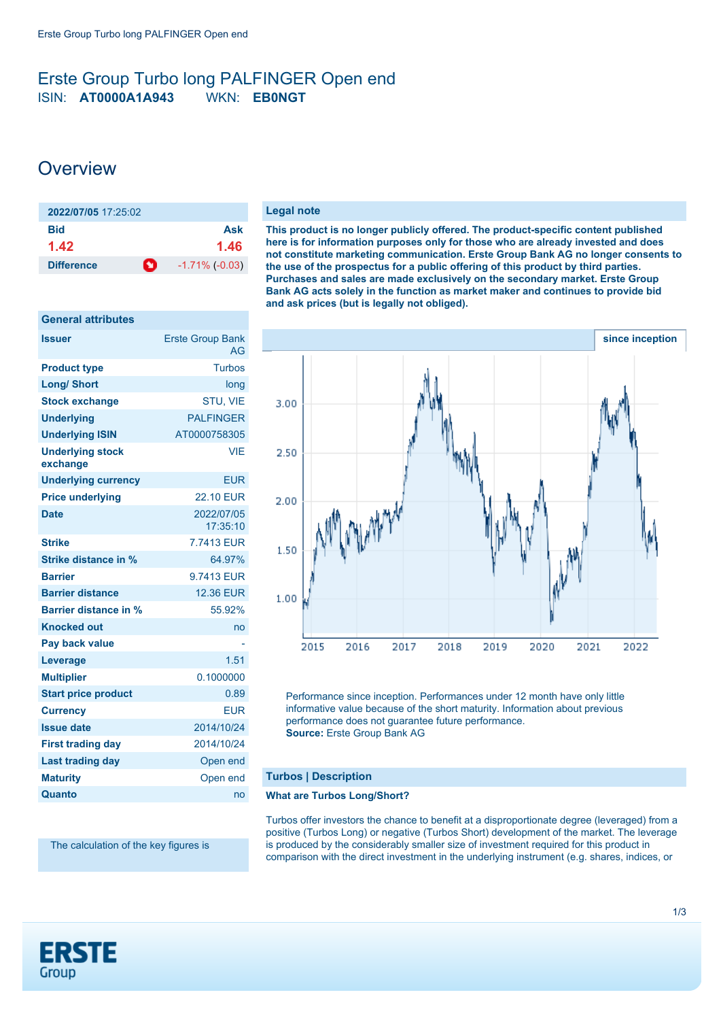# <span id="page-0-0"></span>Erste Group Turbo long PALFINGER Open end ISIN: **AT0000A1A943** WKN: **EB0NGT**

# **Overview**

**General attributes**

| 2022/07/05 17:25:02    |                       |
|------------------------|-----------------------|
| <b>Bid</b>             | Ask                   |
| 1.42                   | 1.46                  |
| n<br><b>Difference</b> | $-1.71\%$ ( $-0.03$ ) |

| General attributes                  |                               |
|-------------------------------------|-------------------------------|
| <b>Issuer</b>                       | <b>Erste Group Bank</b><br>AG |
| <b>Product type</b>                 | <b>Turbos</b>                 |
| <b>Long/ Short</b>                  | long                          |
| <b>Stock exchange</b>               | <b>STU. VIE</b>               |
| <b>Underlying</b>                   | <b>PALFINGER</b>              |
| <b>Underlying ISIN</b>              | AT0000758305                  |
| <b>Underlying stock</b><br>exchange | <b>VIE</b>                    |
| <b>Underlying currency</b>          | <b>EUR</b>                    |
| <b>Price underlying</b>             | <b>22.10 EUR</b>              |
| <b>Date</b>                         | 2022/07/05<br>17:35:10        |
| <b>Strike</b>                       | 7.7413 EUR                    |
| Strike distance in %                | 64.97%                        |
| <b>Barrier</b>                      | 9.7413 EUR                    |
| <b>Barrier distance</b>             | <b>12.36 EUR</b>              |
| <b>Barrier distance in %</b>        | 55.92%                        |
| <b>Knocked out</b>                  | no                            |
| Pay back value                      |                               |
| Leverage                            | 1.51                          |
| <b>Multiplier</b>                   | 0.1000000                     |
| <b>Start price product</b>          | 0.89                          |
| <b>Currency</b>                     | <b>EUR</b>                    |
| <b>Issue date</b>                   | 2014/10/24                    |
| <b>First trading day</b>            | 2014/10/24                    |
| <b>Last trading day</b>             | Open end                      |
| <b>Maturity</b>                     | Open end                      |
| Quanto                              | no                            |

The calculation of the key figures is

#### **Legal note**

**This product is no longer publicly offered. The product-specific content published here is for information purposes only for those who are already invested and does not constitute marketing communication. Erste Group Bank AG no longer consents to the use of the prospectus for a public offering of this product by third parties. Purchases and sales are made exclusively on the secondary market. Erste Group Bank AG acts solely in the function as market maker and continues to provide bid and ask prices (but is legally not obliged).**



Performance since inception. Performances under 12 month have only little informative value because of the short maturity. Information about previous performance does not guarantee future performance. **Source:** Erste Group Bank AG

## **Turbos | Description**

### **What are Turbos Long/Short?**

Turbos offer investors the chance to benefit at a disproportionate degree (leveraged) from a positive (Turbos Long) or negative (Turbos Short) development of the market. The leverage is produced by the considerably smaller size of investment required for this product in comparison with the direct investment in the underlying instrument (e.g. shares, indices, or

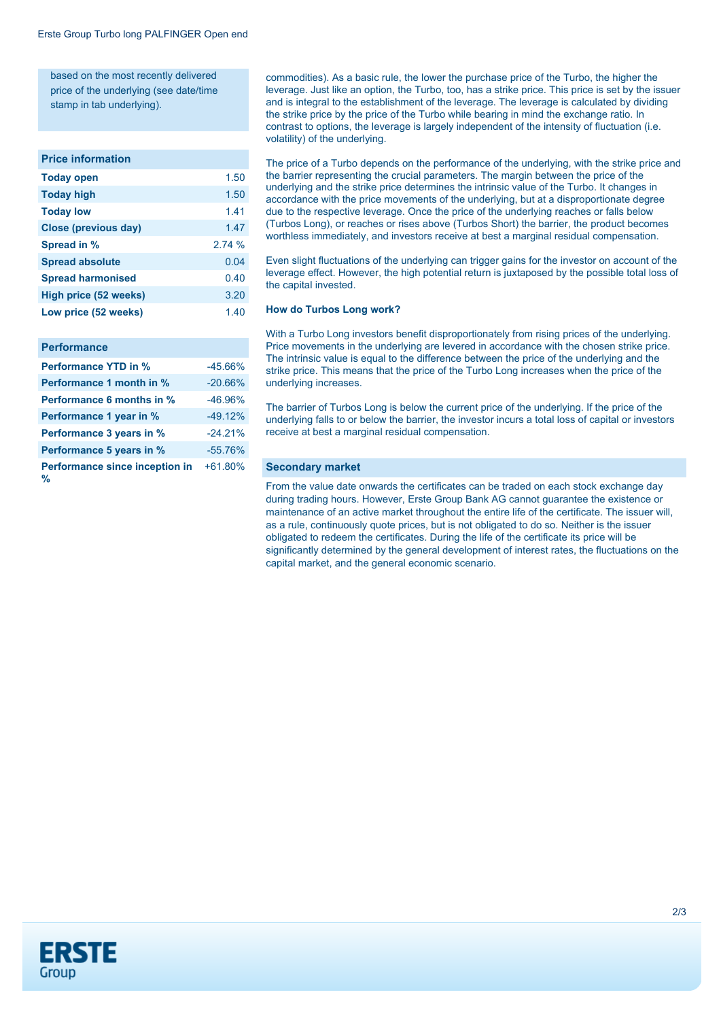based on the most recently delivered price of the underlying (see date/time stamp in tab underlying).

#### **Price information**

| <b>Today open</b>           | 1.50  |
|-----------------------------|-------|
| <b>Today high</b>           | 1.50  |
| <b>Today low</b>            | 1.41  |
| <b>Close (previous day)</b> | 1.47  |
| Spread in %                 | 2.74% |
| <b>Spread absolute</b>      | 0.04  |
| <b>Spread harmonised</b>    | 0.40  |
| High price (52 weeks)       | 3.20  |
| Low price (52 weeks)        | 1.40  |
|                             |       |

#### **Performance**

| <b>Performance YTD in %</b>         | $-45.66%$ |
|-------------------------------------|-----------|
| Performance 1 month in %            | $-20.66%$ |
| <b>Performance 6 months in %</b>    | $-46.96%$ |
| Performance 1 year in %             | $-49.12%$ |
| Performance 3 years in %            | $-24.21%$ |
| Performance 5 years in %            | $-55.76%$ |
| Performance since inception in<br>% | $+61.80%$ |

commodities). As a basic rule, the lower the purchase price of the Turbo, the higher the leverage. Just like an option, the Turbo, too, has a strike price. This price is set by the issuer and is integral to the establishment of the leverage. The leverage is calculated by dividing the strike price by the price of the Turbo while bearing in mind the exchange ratio. In contrast to options, the leverage is largely independent of the intensity of fluctuation (i.e. volatility) of the underlying.

The price of a Turbo depends on the performance of the underlying, with the strike price and the barrier representing the crucial parameters. The margin between the price of the underlying and the strike price determines the intrinsic value of the Turbo. It changes in accordance with the price movements of the underlying, but at a disproportionate degree due to the respective leverage. Once the price of the underlying reaches or falls below (Turbos Long), or reaches or rises above (Turbos Short) the barrier, the product becomes worthless immediately, and investors receive at best a marginal residual compensation.

Even slight fluctuations of the underlying can trigger gains for the investor on account of the leverage effect. However, the high potential return is juxtaposed by the possible total loss of the capital invested.

#### **How do Turbos Long work?**

With a Turbo Long investors benefit disproportionately from rising prices of the underlying. Price movements in the underlying are levered in accordance with the chosen strike price. The intrinsic value is equal to the difference between the price of the underlying and the strike price. This means that the price of the Turbo Long increases when the price of the underlying increases.

The barrier of Turbos Long is below the current price of the underlying. If the price of the underlying falls to or below the barrier, the investor incurs a total loss of capital or investors receive at best a marginal residual compensation.

#### **Secondary market**

From the value date onwards the certificates can be traded on each stock exchange day during trading hours. However, Erste Group Bank AG cannot guarantee the existence or maintenance of an active market throughout the entire life of the certificate. The issuer will, as a rule, continuously quote prices, but is not obligated to do so. Neither is the issuer obligated to redeem the certificates. During the life of the certificate its price will be significantly determined by the general development of interest rates, the fluctuations on the capital market, and the general economic scenario.